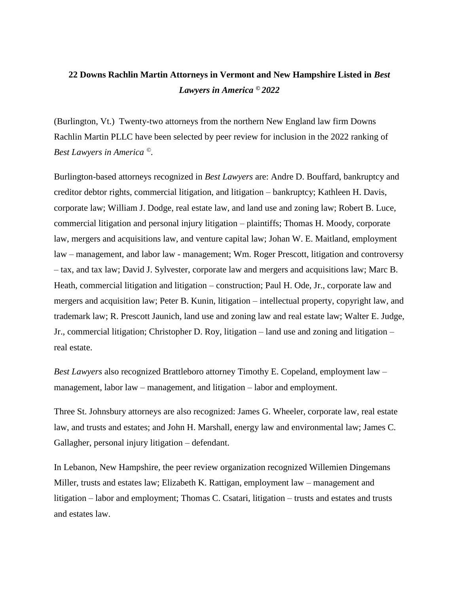## **22 Downs Rachlin Martin Attorneys in Vermont and New Hampshire Listed in** *Best Lawyers in America © 2022*

(Burlington, Vt.) Twenty-two attorneys from the northern New England law firm Downs Rachlin Martin PLLC have been selected by peer review for inclusion in the 2022 ranking of *Best Lawyers in America ©.*

Burlington-based attorneys recognized in *Best Lawyers* are: Andre D. Bouffard, bankruptcy and creditor debtor rights, commercial litigation, and litigation – bankruptcy; Kathleen H. Davis, corporate law; William J. Dodge, real estate law, and land use and zoning law; Robert B. Luce, commercial litigation and personal injury litigation – plaintiffs; Thomas H. Moody, corporate law, mergers and acquisitions law, and venture capital law; Johan W. E. Maitland, employment law – management, and labor law - management; Wm. Roger Prescott, litigation and controversy – tax, and tax law; David J. Sylvester, corporate law and mergers and acquisitions law; Marc B. Heath, commercial litigation and litigation – construction; Paul H. Ode, Jr., corporate law and mergers and acquisition law; Peter B. Kunin, litigation – intellectual property, copyright law, and trademark law; R. Prescott Jaunich, land use and zoning law and real estate law; Walter E. Judge, Jr., commercial litigation; Christopher D. Roy, litigation – land use and zoning and litigation – real estate.

*Best Lawyers* also recognized Brattleboro attorney Timothy E. Copeland, employment law – management, labor law – management, and litigation – labor and employment.

Three St. Johnsbury attorneys are also recognized: James G. Wheeler, corporate law, real estate law, and trusts and estates; and John H. Marshall, energy law and environmental law; James C. Gallagher, personal injury litigation – defendant.

In Lebanon, New Hampshire, the peer review organization recognized Willemien Dingemans Miller, trusts and estates law; Elizabeth K. Rattigan, employment law – management and litigation – labor and employment; Thomas C. Csatari, litigation – trusts and estates and trusts and estates law.